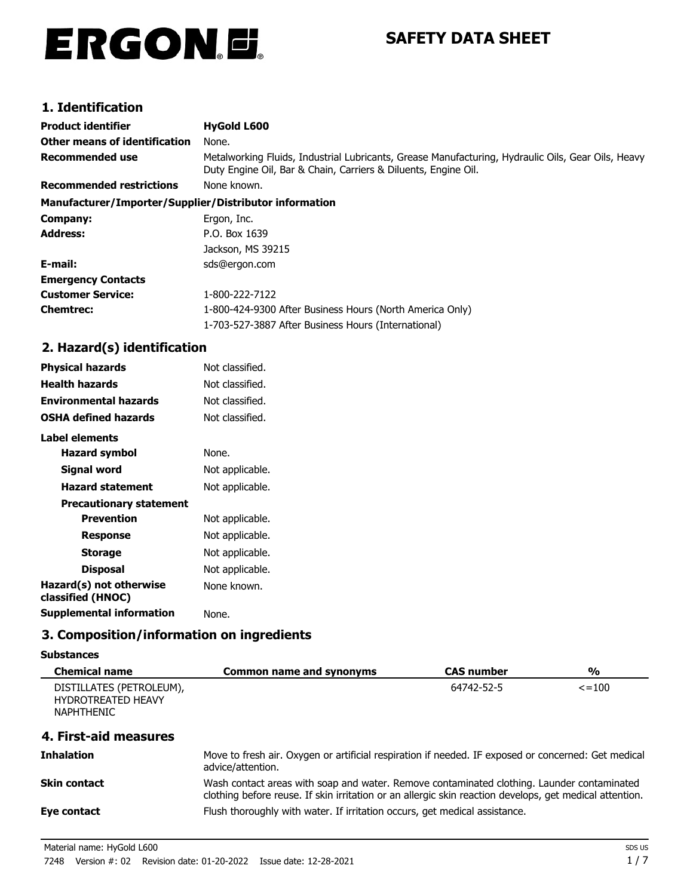# ERGON.E.

## **SAFETY DATA SHEET**

## **1. Identification**

| <b>Product identifier</b>                              | <b>HyGold L600</b>                                                                                                                                                   |  |
|--------------------------------------------------------|----------------------------------------------------------------------------------------------------------------------------------------------------------------------|--|
| Other means of identification                          | None.                                                                                                                                                                |  |
| <b>Recommended use</b>                                 | Metalworking Fluids, Industrial Lubricants, Grease Manufacturing, Hydraulic Oils, Gear Oils, Heavy<br>Duty Engine Oil, Bar & Chain, Carriers & Diluents, Engine Oil. |  |
| <b>Recommended restrictions</b>                        | None known.                                                                                                                                                          |  |
| Manufacturer/Importer/Supplier/Distributor information |                                                                                                                                                                      |  |
| Company:                                               | Ergon, Inc.                                                                                                                                                          |  |
| Address:                                               | P.O. Box 1639                                                                                                                                                        |  |
|                                                        | Jackson, MS 39215                                                                                                                                                    |  |
| E-mail:                                                | sds@ergon.com                                                                                                                                                        |  |
| <b>Emergency Contacts</b>                              |                                                                                                                                                                      |  |
| <b>Customer Service:</b>                               | 1-800-222-7122                                                                                                                                                       |  |
| <b>Chemtrec:</b>                                       | 1-800-424-9300 After Business Hours (North America Only)                                                                                                             |  |
|                                                        | 1-703-527-3887 After Business Hours (International)                                                                                                                  |  |

## **2. Hazard(s) identification**

| <b>Physical hazards</b>                      | Not classified. |
|----------------------------------------------|-----------------|
| <b>Health hazards</b>                        | Not classified. |
| <b>Environmental hazards</b>                 | Not classified. |
| OSHA defined hazards                         | Not classified. |
| Label elements                               |                 |
| <b>Hazard symbol</b>                         | None.           |
| Signal word                                  | Not applicable. |
| <b>Hazard statement</b>                      | Not applicable. |
| <b>Precautionary statement</b>               |                 |
| <b>Prevention</b>                            | Not applicable. |
| Response                                     | Not applicable. |
| <b>Storage</b>                               | Not applicable. |
| <b>Disposal</b>                              | Not applicable. |
| Hazard(s) not otherwise<br>classified (HNOC) | None known.     |
| <b>Supplemental information</b>              | None.           |

## **3. Composition/information on ingredients**

#### **Substances**

| <b>Chemical name</b>                                                       | <b>Common name and synonyms</b>                                                                                                                                                                       | <b>CAS number</b> | %            |
|----------------------------------------------------------------------------|-------------------------------------------------------------------------------------------------------------------------------------------------------------------------------------------------------|-------------------|--------------|
| DISTILLATES (PETROLEUM),<br><b>HYDROTREATED HEAVY</b><br><b>NAPHTHENIC</b> |                                                                                                                                                                                                       | 64742-52-5        | $\leq$ = 100 |
| 4. First-aid measures                                                      |                                                                                                                                                                                                       |                   |              |
| <b>Inhalation</b>                                                          | Move to fresh air. Oxygen or artificial respiration if needed. IF exposed or concerned: Get medical<br>advice/attention.                                                                              |                   |              |
| Skin contact                                                               | Wash contact areas with soap and water. Remove contaminated clothing. Launder contaminated<br>clothing before reuse. If skin irritation or an allergic skin reaction develops, get medical attention. |                   |              |
| Eye contact                                                                | Flush thoroughly with water. If irritation occurs, get medical assistance.                                                                                                                            |                   |              |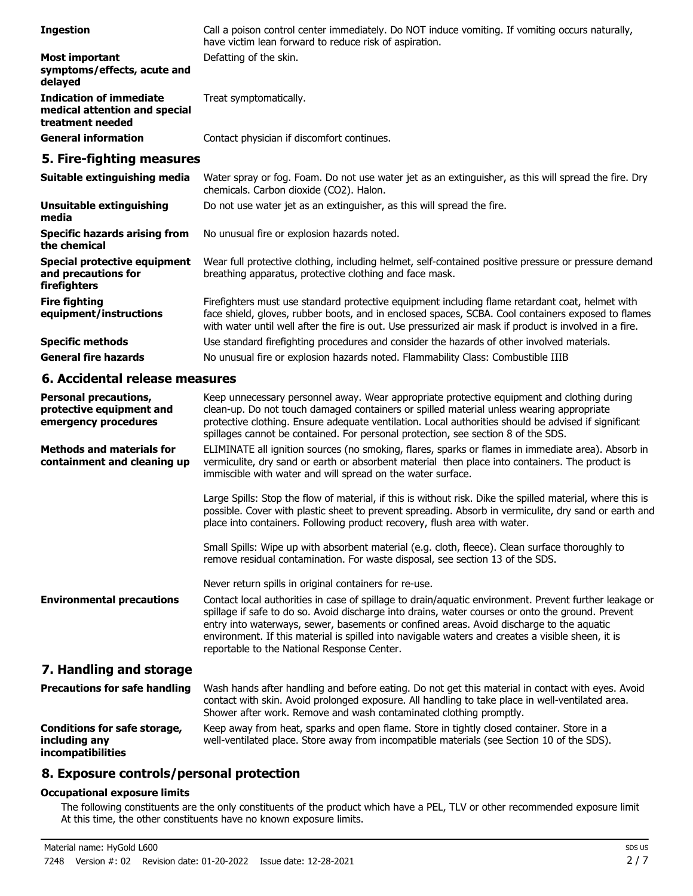| <b>Ingestion</b>                                                                    | Call a poison control center immediately. Do NOT induce vomiting. If vomiting occurs naturally,<br>have victim lean forward to reduce risk of aspiration.                                                                                                                                                                                                                                                                                                   |
|-------------------------------------------------------------------------------------|-------------------------------------------------------------------------------------------------------------------------------------------------------------------------------------------------------------------------------------------------------------------------------------------------------------------------------------------------------------------------------------------------------------------------------------------------------------|
| <b>Most important</b><br>symptoms/effects, acute and<br>delayed                     | Defatting of the skin.                                                                                                                                                                                                                                                                                                                                                                                                                                      |
| <b>Indication of immediate</b><br>medical attention and special<br>treatment needed | Treat symptomatically.                                                                                                                                                                                                                                                                                                                                                                                                                                      |
| <b>General information</b>                                                          | Contact physician if discomfort continues.                                                                                                                                                                                                                                                                                                                                                                                                                  |
| 5. Fire-fighting measures                                                           |                                                                                                                                                                                                                                                                                                                                                                                                                                                             |
| Suitable extinguishing media                                                        | Water spray or fog. Foam. Do not use water jet as an extinguisher, as this will spread the fire. Dry<br>chemicals. Carbon dioxide (CO2). Halon.                                                                                                                                                                                                                                                                                                             |
| <b>Unsuitable extinguishing</b><br>media                                            | Do not use water jet as an extinguisher, as this will spread the fire.                                                                                                                                                                                                                                                                                                                                                                                      |
| <b>Specific hazards arising from</b><br>the chemical                                | No unusual fire or explosion hazards noted.                                                                                                                                                                                                                                                                                                                                                                                                                 |
| <b>Special protective equipment</b><br>and precautions for<br>firefighters          | Wear full protective clothing, including helmet, self-contained positive pressure or pressure demand<br>breathing apparatus, protective clothing and face mask.                                                                                                                                                                                                                                                                                             |
| <b>Fire fighting</b><br>equipment/instructions                                      | Firefighters must use standard protective equipment including flame retardant coat, helmet with<br>face shield, gloves, rubber boots, and in enclosed spaces, SCBA. Cool containers exposed to flames<br>with water until well after the fire is out. Use pressurized air mask if product is involved in a fire.                                                                                                                                            |
| <b>Specific methods</b>                                                             | Use standard firefighting procedures and consider the hazards of other involved materials.                                                                                                                                                                                                                                                                                                                                                                  |
| <b>General fire hazards</b>                                                         | No unusual fire or explosion hazards noted. Flammability Class: Combustible IIIB                                                                                                                                                                                                                                                                                                                                                                            |
| 6. Accidental release measures                                                      |                                                                                                                                                                                                                                                                                                                                                                                                                                                             |
| <b>Personal precautions,</b><br>protective equipment and<br>emergency procedures    | Keep unnecessary personnel away. Wear appropriate protective equipment and clothing during<br>clean-up. Do not touch damaged containers or spilled material unless wearing appropriate<br>protective clothing. Ensure adequate ventilation. Local authorities should be advised if significant<br>spillages cannot be contained. For personal protection, see section 8 of the SDS.                                                                         |
| <b>Methods and materials for</b><br>containment and cleaning up                     | ELIMINATE all ignition sources (no smoking, flares, sparks or flames in immediate area). Absorb in<br>vermiculite, dry sand or earth or absorbent material then place into containers. The product is<br>immiscible with water and will spread on the water surface.                                                                                                                                                                                        |
|                                                                                     | Large Spills: Stop the flow of material, if this is without risk. Dike the spilled material, where this is<br>possible. Cover with plastic sheet to prevent spreading. Absorb in vermiculite, dry sand or earth and<br>place into containers. Following product recovery, flush area with water.                                                                                                                                                            |
|                                                                                     | Small Spills: Wipe up with absorbent material (e.g. cloth, fleece). Clean surface thoroughly to<br>remove residual contamination. For waste disposal, see section 13 of the SDS.                                                                                                                                                                                                                                                                            |
|                                                                                     | Never return spills in original containers for re-use.                                                                                                                                                                                                                                                                                                                                                                                                      |
| <b>Environmental precautions</b>                                                    | Contact local authorities in case of spillage to drain/aquatic environment. Prevent further leakage or<br>spillage if safe to do so. Avoid discharge into drains, water courses or onto the ground. Prevent<br>entry into waterways, sewer, basements or confined areas. Avoid discharge to the aquatic<br>environment. If this material is spilled into navigable waters and creates a visible sheen, it is<br>reportable to the National Response Center. |
| 7. Handling and storage                                                             |                                                                                                                                                                                                                                                                                                                                                                                                                                                             |
| <b>Precautions for safe handling</b>                                                | Wash hands after handling and before eating. Do not get this material in contact with eyes. Avoid<br>contact with skin. Avoid prolonged exposure. All handling to take place in well-ventilated area.<br>Shower after work. Remove and wash contaminated clothing promptly.                                                                                                                                                                                 |
| <b>Conditions for safe storage,</b><br>including any<br>incompatibilities           | Keep away from heat, sparks and open flame. Store in tightly closed container. Store in a<br>well-ventilated place. Store away from incompatible materials (see Section 10 of the SDS).                                                                                                                                                                                                                                                                     |
| 8. Exposure controls/personal protection                                            |                                                                                                                                                                                                                                                                                                                                                                                                                                                             |

## **Occupational exposure limits**

The following constituents are the only constituents of the product which have a PEL, TLV or other recommended exposure limit. At this time, the other constituents have no known exposure limits.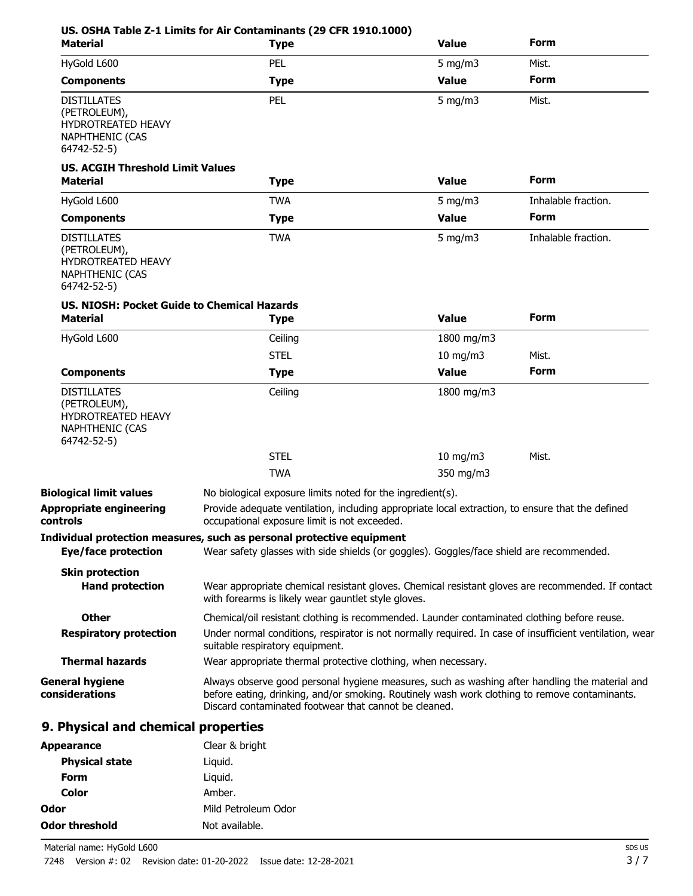| <b>Material</b>                                                                                          | <b>Type</b>                                                                                                                                                                                                                                              | <b>Value</b>     | <b>Form</b>         |
|----------------------------------------------------------------------------------------------------------|----------------------------------------------------------------------------------------------------------------------------------------------------------------------------------------------------------------------------------------------------------|------------------|---------------------|
| HyGold L600                                                                                              | PEL                                                                                                                                                                                                                                                      | $5 \text{ mg/m}$ | Mist.               |
| <b>Components</b>                                                                                        | <b>Type</b>                                                                                                                                                                                                                                              | <b>Value</b>     | Form                |
| <b>DISTILLATES</b><br>(PETROLEUM),<br><b>HYDROTREATED HEAVY</b><br><b>NAPHTHENIC (CAS</b><br>64742-52-5) | PEL                                                                                                                                                                                                                                                      | 5 mg/m $3$       | Mist.               |
| <b>US. ACGIH Threshold Limit Values</b><br><b>Material</b>                                               | <b>Type</b>                                                                                                                                                                                                                                              | <b>Value</b>     | <b>Form</b>         |
| HyGold L600                                                                                              | <b>TWA</b>                                                                                                                                                                                                                                               | $5$ mg/m $3$     | Inhalable fraction. |
| <b>Components</b>                                                                                        | <b>Type</b>                                                                                                                                                                                                                                              | <b>Value</b>     | Form                |
| <b>DISTILLATES</b><br>(PETROLEUM),<br>HYDROTREATED HEAVY<br><b>NAPHTHENIC (CAS</b><br>64742-52-5)        | <b>TWA</b>                                                                                                                                                                                                                                               | $5$ mg/m $3$     | Inhalable fraction. |
| US. NIOSH: Pocket Guide to Chemical Hazards<br><b>Material</b>                                           | <b>Type</b>                                                                                                                                                                                                                                              | <b>Value</b>     | <b>Form</b>         |
| HyGold L600                                                                                              | Ceiling                                                                                                                                                                                                                                                  | 1800 mg/m3       |                     |
|                                                                                                          | <b>STEL</b>                                                                                                                                                                                                                                              | 10 mg/m3         | Mist.               |
| <b>Components</b>                                                                                        | <b>Type</b>                                                                                                                                                                                                                                              | <b>Value</b>     | Form                |
| <b>DISTILLATES</b><br>(PETROLEUM),<br><b>HYDROTREATED HEAVY</b><br><b>NAPHTHENIC (CAS</b><br>64742-52-5) | Ceiling                                                                                                                                                                                                                                                  | 1800 mg/m3       |                     |
|                                                                                                          | <b>STEL</b>                                                                                                                                                                                                                                              | $10$ mg/m $3$    | Mist.               |
|                                                                                                          | <b>TWA</b>                                                                                                                                                                                                                                               | 350 mg/m3        |                     |
| <b>Biological limit values</b><br><b>Appropriate engineering</b><br>controls                             | No biological exposure limits noted for the ingredient(s).<br>Provide adequate ventilation, including appropriate local extraction, to ensure that the defined<br>occupational exposure limit is not exceeded.                                           |                  |                     |
| Eye/face protection                                                                                      | Individual protection measures, such as personal protective equipment<br>Wear safety glasses with side shields (or goggles). Goggles/face shield are recommended.                                                                                        |                  |                     |
| <b>Skin protection</b>                                                                                   |                                                                                                                                                                                                                                                          |                  |                     |
| <b>Hand protection</b>                                                                                   | Wear appropriate chemical resistant gloves. Chemical resistant gloves are recommended. If contact<br>with forearms is likely wear gauntlet style gloves.                                                                                                 |                  |                     |
| <b>Other</b>                                                                                             | Chemical/oil resistant clothing is recommended. Launder contaminated clothing before reuse.                                                                                                                                                              |                  |                     |
| <b>Respiratory protection</b>                                                                            | Under normal conditions, respirator is not normally required. In case of insufficient ventilation, wear<br>suitable respiratory equipment.                                                                                                               |                  |                     |
| <b>Thermal hazards</b>                                                                                   | Wear appropriate thermal protective clothing, when necessary.                                                                                                                                                                                            |                  |                     |
| <b>General hygiene</b><br>considerations                                                                 | Always observe good personal hygiene measures, such as washing after handling the material and<br>before eating, drinking, and/or smoking. Routinely wash work clothing to remove contaminants.<br>Discard contaminated footwear that cannot be cleaned. |                  |                     |
| 9. Physical and chemical properties                                                                      |                                                                                                                                                                                                                                                          |                  |                     |
| <b>Appearance</b>                                                                                        | Clear & bright                                                                                                                                                                                                                                           |                  |                     |
| <b>Physical state</b>                                                                                    | Liquid.                                                                                                                                                                                                                                                  |                  |                     |
| <b>Form</b>                                                                                              | Liquid.                                                                                                                                                                                                                                                  |                  |                     |

Material name: HyGold L600 7248 Version #: 02 Revision date: 01-20-2022 Issue date: 12-28-2021

**Color** Amber.

**Odor threshold** Not available.

**Odor** Mild Petroleum Odor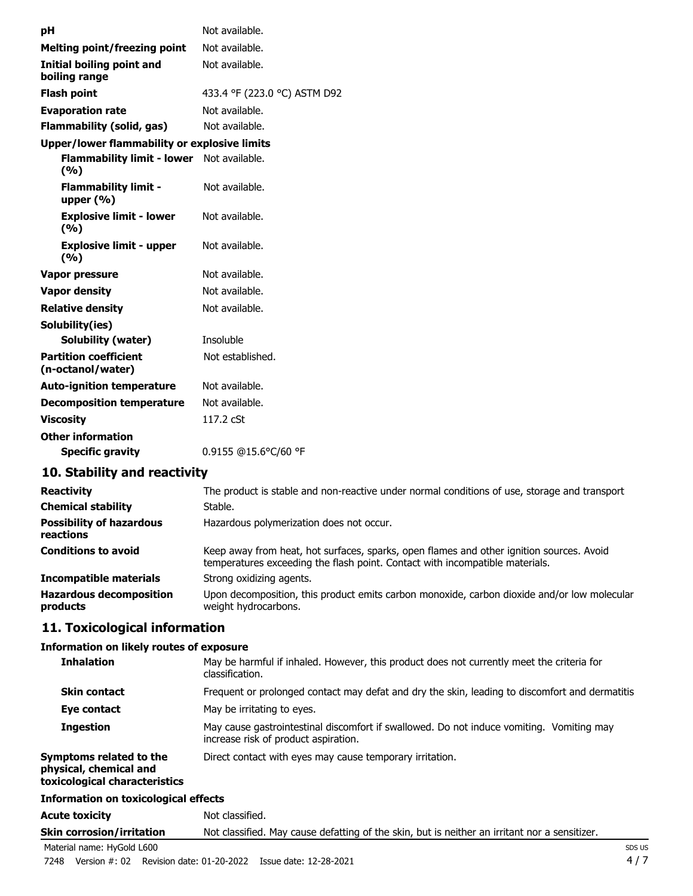| pH                                                | Not available.               |
|---------------------------------------------------|------------------------------|
| <b>Melting point/freezing point</b>               | Not available.               |
| Initial boiling point and<br>boiling range        | Not available.               |
| <b>Flash point</b>                                | 433.4 °F (223.0 °C) ASTM D92 |
| <b>Evaporation rate</b>                           | Not available.               |
| <b>Flammability (solid, gas)</b>                  | Not available.               |
| Upper/lower flammability or explosive limits      |                              |
| <b>Flammability limit - lower</b><br>(%)          | Not available.               |
| <b>Flammability limit -</b><br>upper $(\% )$      | Not available.               |
| <b>Explosive limit - lower</b><br>(9/6)           | Not available.               |
| <b>Explosive limit - upper</b><br>(%)             | Not available.               |
| Vapor pressure                                    | Not available.               |
| <b>Vapor density</b>                              | Not available.               |
| <b>Relative density</b>                           | Not available.               |
| Solubility(ies)                                   |                              |
| <b>Solubility (water)</b>                         | Insoluble                    |
| <b>Partition coefficient</b><br>(n-octanol/water) | Not established.             |
| <b>Auto-ignition temperature</b>                  | Not available.               |
| <b>Decomposition temperature</b>                  | Not available.               |
| <b>Viscosity</b>                                  | 117.2 cSt                    |
| <b>Other information</b>                          |                              |
| <b>Specific gravity</b>                           | 0.9155 @15.6°C/60 °F         |

## **10. Stability and reactivity**

| <b>Reactivity</b>                            | The product is stable and non-reactive under normal conditions of use, storage and transport                                                                             |
|----------------------------------------------|--------------------------------------------------------------------------------------------------------------------------------------------------------------------------|
| <b>Chemical stability</b>                    | Stable.                                                                                                                                                                  |
| <b>Possibility of hazardous</b><br>reactions | Hazardous polymerization does not occur.                                                                                                                                 |
| <b>Conditions to avoid</b>                   | Keep away from heat, hot surfaces, sparks, open flames and other ignition sources. Avoid<br>temperatures exceeding the flash point. Contact with incompatible materials. |
| <b>Incompatible materials</b>                | Strong oxidizing agents.                                                                                                                                                 |
| <b>Hazardous decomposition</b><br>products   | Upon decomposition, this product emits carbon monoxide, carbon dioxide and/or low molecular<br>weight hydrocarbons.                                                      |

## **11. Toxicological information**

#### **Information on likely routes of exposure**

| <b>Inhalation</b>                                                                  | May be harmful if inhaled. However, this product does not currently meet the criteria for<br>classification.                     |  |
|------------------------------------------------------------------------------------|----------------------------------------------------------------------------------------------------------------------------------|--|
| <b>Skin contact</b>                                                                | Frequent or prolonged contact may defat and dry the skin, leading to discomfort and dermatitis                                   |  |
| Eye contact                                                                        | May be irritating to eyes.                                                                                                       |  |
| <b>Ingestion</b>                                                                   | May cause gastrointestinal discomfort if swallowed. Do not induce vomiting. Vomiting may<br>increase risk of product aspiration. |  |
| Symptoms related to the<br>physical, chemical and<br>toxicological characteristics | Direct contact with eyes may cause temporary irritation.                                                                         |  |
| <b>Information on toxicological effects</b>                                        |                                                                                                                                  |  |

Acute toxicity **Not classified. Skin corrosion/irritation** Not classified. May cause defatting of the skin, but is neither an irritant nor a sensitizer.

Material name: HyGold L600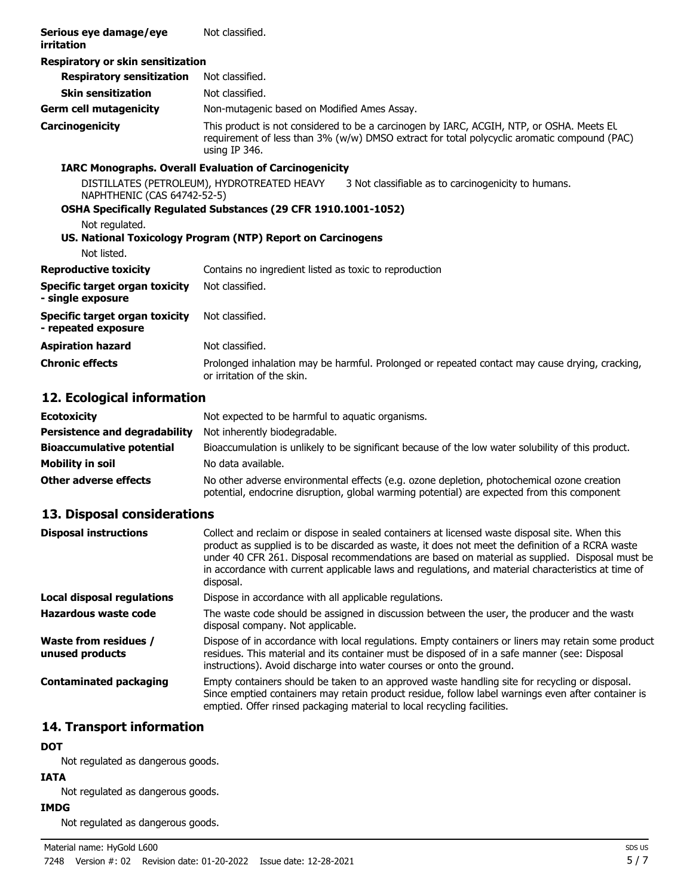| Serious eye damage/eye<br>irritation                                                                                                                                                                | Not classified.                                                                                                                                                                                          |  |
|-----------------------------------------------------------------------------------------------------------------------------------------------------------------------------------------------------|----------------------------------------------------------------------------------------------------------------------------------------------------------------------------------------------------------|--|
| Respiratory or skin sensitization                                                                                                                                                                   |                                                                                                                                                                                                          |  |
| <b>Respiratory sensitization</b>                                                                                                                                                                    | Not classified.                                                                                                                                                                                          |  |
| <b>Skin sensitization</b>                                                                                                                                                                           | Not classified.                                                                                                                                                                                          |  |
| <b>Germ cell mutagenicity</b>                                                                                                                                                                       | Non-mutagenic based on Modified Ames Assay.                                                                                                                                                              |  |
| Carcinogenicity                                                                                                                                                                                     | This product is not considered to be a carcinogen by IARC, ACGIH, NTP, or OSHA. Meets EL<br>requirement of less than 3% (w/w) DMSO extract for total polycyclic aromatic compound (PAC)<br>using IP 346. |  |
| <b>IARC Monographs. Overall Evaluation of Carcinogenicity</b>                                                                                                                                       |                                                                                                                                                                                                          |  |
| DISTILLATES (PETROLEUM), HYDROTREATED HEAVY<br>3 Not classifiable as to carcinogenicity to humans.<br>NAPHTHENIC (CAS 64742-52-5)<br>OSHA Specifically Regulated Substances (29 CFR 1910.1001-1052) |                                                                                                                                                                                                          |  |
| Not regulated.                                                                                                                                                                                      | US. National Toxicology Program (NTP) Report on Carcinogens                                                                                                                                              |  |
| Not listed.                                                                                                                                                                                         |                                                                                                                                                                                                          |  |
| <b>Reproductive toxicity</b>                                                                                                                                                                        | Contains no ingredient listed as toxic to reproduction                                                                                                                                                   |  |
| Specific target organ toxicity<br>- single exposure                                                                                                                                                 | Not classified.                                                                                                                                                                                          |  |
| <b>Specific target organ toxicity</b><br>- repeated exposure                                                                                                                                        | Not classified.                                                                                                                                                                                          |  |
| <b>Aspiration hazard</b>                                                                                                                                                                            | Not classified.                                                                                                                                                                                          |  |
| <b>Chronic effects</b>                                                                                                                                                                              | Prolonged inhalation may be harmful. Prolonged or repeated contact may cause drying, cracking,<br>or irritation of the skin.                                                                             |  |

## **12. Ecological information**

| <b>Ecotoxicity</b>                   | Not expected to be harmful to aquatic organisms.                                                                                                                                          |
|--------------------------------------|-------------------------------------------------------------------------------------------------------------------------------------------------------------------------------------------|
| <b>Persistence and degradability</b> | Not inherently biodegradable.                                                                                                                                                             |
| <b>Bioaccumulative potential</b>     | Bioaccumulation is unlikely to be significant because of the low water solubility of this product.                                                                                        |
| Mobility in soil                     | No data available.                                                                                                                                                                        |
| Other adverse effects                | No other adverse environmental effects (e.g. ozone depletion, photochemical ozone creation<br>potential, endocrine disruption, global warming potential) are expected from this component |

## **13. Disposal considerations**

| <b>Disposal instructions</b>             | Collect and reclaim or dispose in sealed containers at licensed waste disposal site. When this<br>product as supplied is to be discarded as waste, it does not meet the definition of a RCRA waste<br>under 40 CFR 261. Disposal recommendations are based on material as supplied. Disposal must be<br>in accordance with current applicable laws and regulations, and material characteristics at time of<br>disposal. |
|------------------------------------------|--------------------------------------------------------------------------------------------------------------------------------------------------------------------------------------------------------------------------------------------------------------------------------------------------------------------------------------------------------------------------------------------------------------------------|
| <b>Local disposal regulations</b>        | Dispose in accordance with all applicable regulations.                                                                                                                                                                                                                                                                                                                                                                   |
| Hazardous waste code                     | The waste code should be assigned in discussion between the user, the producer and the waste<br>disposal company. Not applicable.                                                                                                                                                                                                                                                                                        |
| Waste from residues /<br>unused products | Dispose of in accordance with local regulations. Empty containers or liners may retain some product<br>residues. This material and its container must be disposed of in a safe manner (see: Disposal<br>instructions). Avoid discharge into water courses or onto the ground.                                                                                                                                            |
| <b>Contaminated packaging</b>            | Empty containers should be taken to an approved waste handling site for recycling or disposal.<br>Since emptied containers may retain product residue, follow label warnings even after container is<br>emptied. Offer rinsed packaging material to local recycling facilities.                                                                                                                                          |

## **14. Transport information**

## **DOT**

Not regulated as dangerous goods.

#### **IATA**

Not regulated as dangerous goods.

#### **IMDG**

Not regulated as dangerous goods.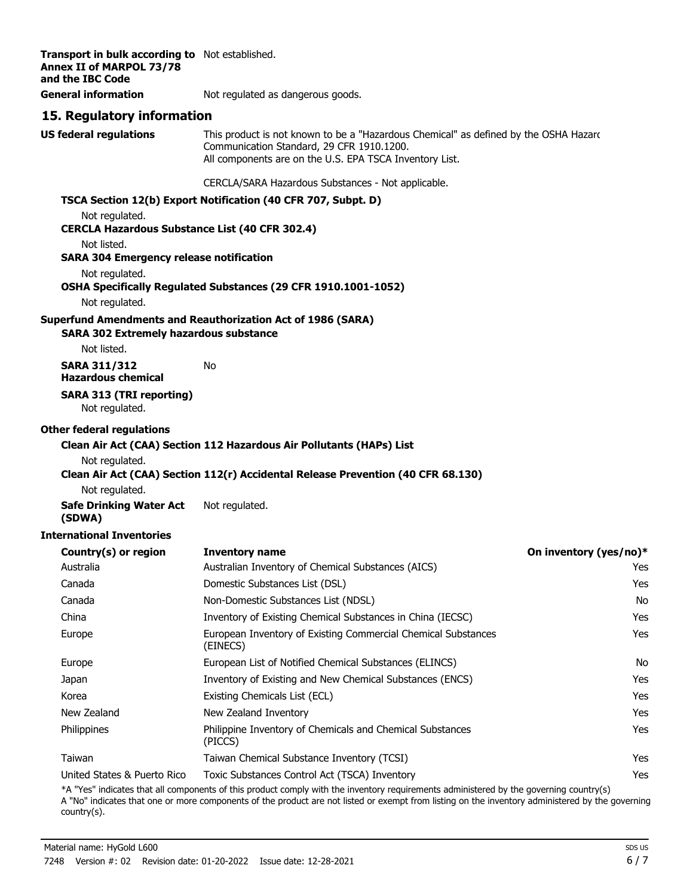| Transport in bulk according to Not established.<br><b>Annex II of MARPOL 73/78</b><br>and the IBC Code |                                                                                                                                                                                              |                        |
|--------------------------------------------------------------------------------------------------------|----------------------------------------------------------------------------------------------------------------------------------------------------------------------------------------------|------------------------|
| <b>General information</b>                                                                             | Not regulated as dangerous goods.                                                                                                                                                            |                        |
| 15. Regulatory information                                                                             |                                                                                                                                                                                              |                        |
| <b>US federal regulations</b>                                                                          | This product is not known to be a "Hazardous Chemical" as defined by the OSHA Hazard<br>Communication Standard, 29 CFR 1910.1200.<br>All components are on the U.S. EPA TSCA Inventory List. |                        |
|                                                                                                        | CERCLA/SARA Hazardous Substances - Not applicable.                                                                                                                                           |                        |
|                                                                                                        | TSCA Section 12(b) Export Notification (40 CFR 707, Subpt. D)                                                                                                                                |                        |
| Not regulated.<br><b>CERCLA Hazardous Substance List (40 CFR 302.4)</b>                                |                                                                                                                                                                                              |                        |
| Not listed.<br><b>SARA 304 Emergency release notification</b>                                          |                                                                                                                                                                                              |                        |
| Not regulated.                                                                                         | OSHA Specifically Regulated Substances (29 CFR 1910.1001-1052)                                                                                                                               |                        |
| Not regulated.                                                                                         |                                                                                                                                                                                              |                        |
| <b>SARA 302 Extremely hazardous substance</b>                                                          | <b>Superfund Amendments and Reauthorization Act of 1986 (SARA)</b>                                                                                                                           |                        |
| Not listed.                                                                                            |                                                                                                                                                                                              |                        |
| <b>SARA 311/312</b><br><b>Hazardous chemical</b>                                                       | No                                                                                                                                                                                           |                        |
| <b>SARA 313 (TRI reporting)</b><br>Not regulated.                                                      |                                                                                                                                                                                              |                        |
| <b>Other federal regulations</b>                                                                       |                                                                                                                                                                                              |                        |
|                                                                                                        | Clean Air Act (CAA) Section 112 Hazardous Air Pollutants (HAPs) List                                                                                                                         |                        |
| Not regulated.                                                                                         |                                                                                                                                                                                              |                        |
| Not regulated.                                                                                         | Clean Air Act (CAA) Section 112(r) Accidental Release Prevention (40 CFR 68.130)                                                                                                             |                        |
| <b>Safe Drinking Water Act</b>                                                                         | Not regulated.                                                                                                                                                                               |                        |
| (SDWA)                                                                                                 |                                                                                                                                                                                              |                        |
| <b>International Inventories</b>                                                                       |                                                                                                                                                                                              |                        |
| Country(s) or region                                                                                   | <b>Inventory name</b>                                                                                                                                                                        | On inventory (yes/no)* |
| Australia                                                                                              | Australian Inventory of Chemical Substances (AICS)                                                                                                                                           | Yes                    |
| Canada                                                                                                 | Domestic Substances List (DSL)                                                                                                                                                               | Yes                    |
| Canada                                                                                                 | Non-Domestic Substances List (NDSL)                                                                                                                                                          | No                     |
| China                                                                                                  | Inventory of Existing Chemical Substances in China (IECSC)                                                                                                                                   | Yes                    |
| Europe                                                                                                 | European Inventory of Existing Commercial Chemical Substances<br>(EINECS)                                                                                                                    | Yes                    |
| Europe                                                                                                 | European List of Notified Chemical Substances (ELINCS)                                                                                                                                       | No                     |
| Japan                                                                                                  | Inventory of Existing and New Chemical Substances (ENCS)                                                                                                                                     | Yes                    |
| Korea                                                                                                  | Existing Chemicals List (ECL)                                                                                                                                                                | Yes                    |
| New Zealand                                                                                            | New Zealand Inventory                                                                                                                                                                        | Yes                    |
| Philippines                                                                                            | Philippine Inventory of Chemicals and Chemical Substances<br>(PICCS)                                                                                                                         | Yes                    |
| Taiwan                                                                                                 | Taiwan Chemical Substance Inventory (TCSI)                                                                                                                                                   | Yes                    |
| United States & Puerto Rico                                                                            | Toxic Substances Control Act (TSCA) Inventory<br>*A "Yes" indicates that all components of this product comply with the inventory requirements administered by the governing country(s)      | Yes                    |

A "No" indicates that one or more components of the product are not listed or exempt from listing on the inventory administered by the governing country(s).